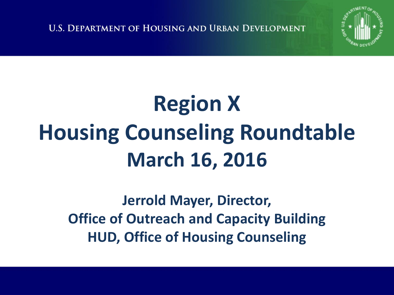**U.S. DEPARTMENT OF HOUSING AND URBAN DEVELOPMENT** 



# **Region X Housing Counseling Roundtable March 16, 2016**

**Jerrold Mayer, Director, Office of Outreach and Capacity Building HUD, Office of Housing Counseling**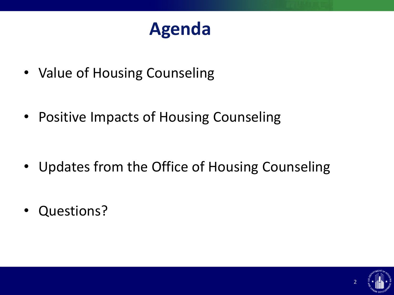#### **Agenda**

- Value of Housing Counseling
- Positive Impacts of Housing Counseling

- Updates from the Office of Housing Counseling
- Questions?

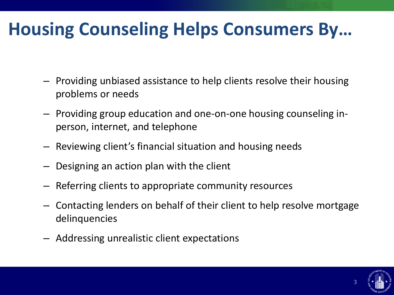#### **Housing Counseling Helps Consumers By…**

- Providing unbiased assistance to help clients resolve their housing problems or needs
- Providing group education and one-on-one housing counseling inperson, internet, and telephone
- Reviewing client's financial situation and housing needs
- Designing an action plan with the client
- Referring clients to appropriate community resources
- Contacting lenders on behalf of their client to help resolve mortgage delinquencies
- Addressing unrealistic client expectations

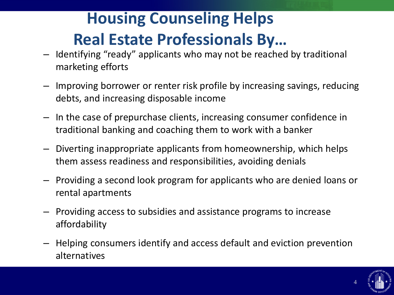#### **Housing Counseling Helps Real Estate Professionals By…**

- Identifying "ready" applicants who may not be reached by traditional marketing efforts
- Improving borrower or renter risk profile by increasing savings, reducing debts, and increasing disposable income
- In the case of prepurchase clients, increasing consumer confidence in traditional banking and coaching them to work with a banker
- Diverting inappropriate applicants from homeownership, which helps them assess readiness and responsibilities, avoiding denials
- Providing a second look program for applicants who are denied loans or rental apartments
- Providing access to subsidies and assistance programs to increase affordability
- Helping consumers identify and access default and eviction prevention alternatives

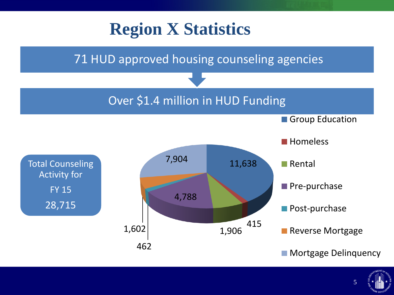

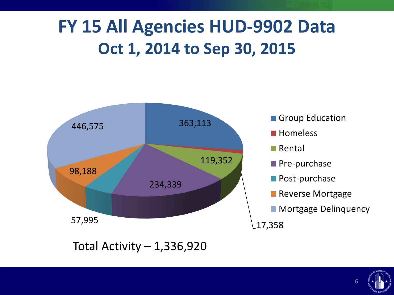#### **FY 15 All Agencies HUD-9902 Data Oct 1, 2014 to Sep 30, 2015**





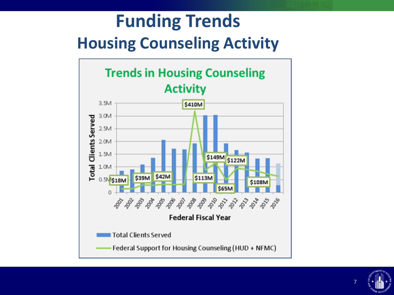#### **Funding Trends Housing Counseling Activity**



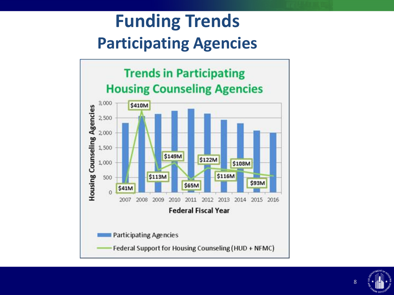#### **Funding Trends Participating Agencies**



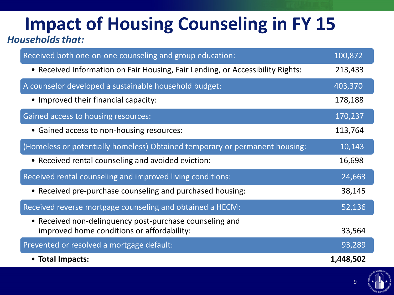# **Impact of Housing Counseling in FY 15**

#### *Households that:*

| Received both one-on-one counseling and group education:                                              | 100,872   |
|-------------------------------------------------------------------------------------------------------|-----------|
| • Received Information on Fair Housing, Fair Lending, or Accessibility Rights:                        | 213,433   |
| A counselor developed a sustainable household budget:                                                 | 403,370   |
| • Improved their financial capacity:                                                                  | 178,188   |
| Gained access to housing resources:                                                                   | 170,237   |
| • Gained access to non-housing resources:                                                             | 113,764   |
| (Homeless or potentially homeless) Obtained temporary or permanent housing:                           | 10,143    |
| • Received rental counseling and avoided eviction:                                                    | 16,698    |
| Received rental counseling and improved living conditions:                                            | 24,663    |
| • Received pre-purchase counseling and purchased housing:                                             | 38,145    |
| Received reverse mortgage counseling and obtained a HECM:                                             | 52,136    |
| • Received non-delinquency post-purchase counseling and<br>improved home conditions or affordability: | 33,564    |
| Prevented or resolved a mortgage default:                                                             | 93,289    |
| • Total Impacts:                                                                                      | 1,448,502 |

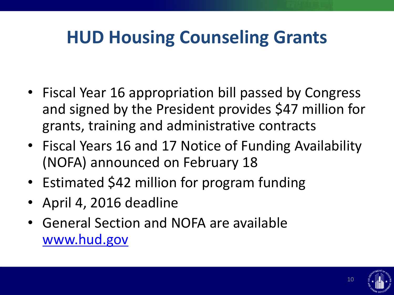### **HUD Housing Counseling Grants**

- Fiscal Year 16 appropriation bill passed by Congress and signed by the President provides \$47 million for grants, training and administrative contracts
- Fiscal Years 16 and 17 Notice of Funding Availability (NOFA) announced on February 18
- Estimated \$42 million for program funding
- April 4, 2016 deadline
- General Section and NOFA are available [www.hud.gov](http://www.hud.gov/)

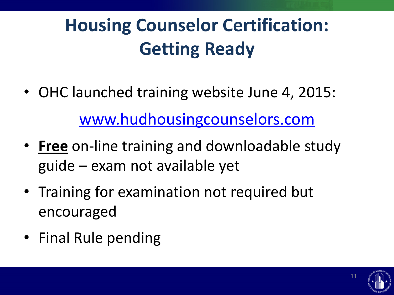## **Housing Counselor Certification: Getting Ready**

- OHC launched training website June 4, 2015: [www.hudhousingcounselors.com](http://www.hudhousingcounselors.com/)
- **Free** on-line training and downloadable study guide – exam not available yet
- Training for examination not required but encouraged
- Final Rule pending

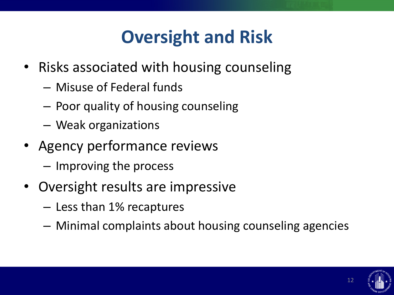### **Oversight and Risk**

- Risks associated with housing counseling
	- Misuse of Federal funds
	- Poor quality of housing counseling
	- Weak organizations
- Agency performance reviews
	- Improving the process
- Oversight results are impressive
	- Less than 1% recaptures
	- Minimal complaints about housing counseling agencies



12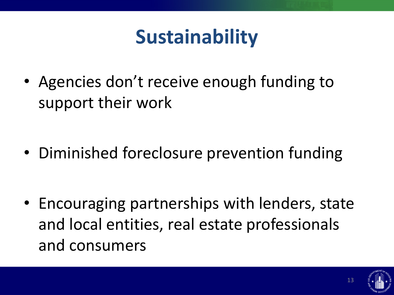## **Sustainability**

• Agencies don't receive enough funding to support their work

• Diminished foreclosure prevention funding

• Encouraging partnerships with lenders, state and local entities, real estate professionals and consumers

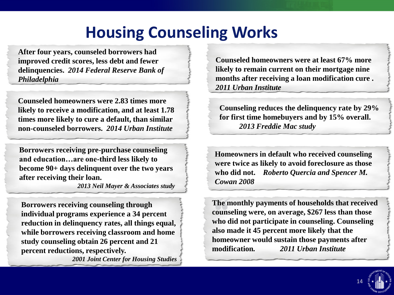#### **Housing Counseling Works**

**After four years, counseled borrowers had improved credit scores, less debt and fewer delinquencies.** *2014 Federal Reserve Bank of Philadelphia*

**Counseled homeowners were 2.83 times more likely to receive a modification, and at least 1.78 times more likely to cure a default, than similar non-counseled borrowers.** *2014 Urban Institute*

**Borrowers receiving pre-purchase counseling and education…are one-third less likely to become 90+ days delinquent over the two years after receiving their loan.** 

*2013 Neil Mayer & Associates study*

**Borrowers receiving counseling through individual programs experience a 34 percent reduction in delinquency rates, all things equal, while borrowers receiving classroom and home study counseling obtain 26 percent and 21 percent reductions, respectively.** 

*2001 Joint Center for Housing Studies*

**Counseled homeowners were at least 67% more likely to remain current on their mortgage nine months after receiving a loan modification cure .**  *2011 Urban Institute*

**Counseling reduces the delinquency rate by 29% for first time homebuyers and by 15% overall.**  *2013 Freddie Mac study*

**Homeowners in default who received counseling were twice as likely to avoid foreclosure as those who did not.** *Roberto Quercia and Spencer M. Cowan 2008*

**The monthly payments of households that received counseling were, on average, \$267 less than those who did not participate in counseling. Counseling also made it 45 percent more likely that the homeowner would sustain those payments after modification***. 2011 Urban Institute*

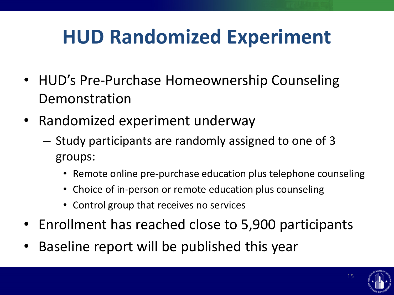## **HUD Randomized Experiment**

- HUD's Pre-Purchase Homeownership Counseling Demonstration
- Randomized experiment underway
	- Study participants are randomly assigned to one of 3 groups:
		- Remote online pre-purchase education plus telephone counseling
		- Choice of in-person or remote education plus counseling
		- Control group that receives no services
- Enrollment has reached close to 5,900 participants
- Baseline report will be published this year

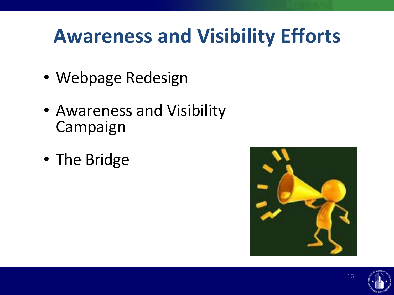## **Awareness and Visibility Efforts**

- Webpage Redesign
- Awareness and Visibility Campaign
- The Bridge





16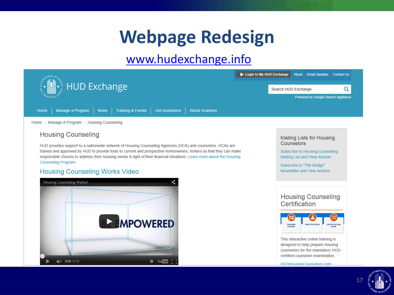#### **Webpage Redesign**

#### [www.hudexchange.info](http://www.hudexcange.info/)

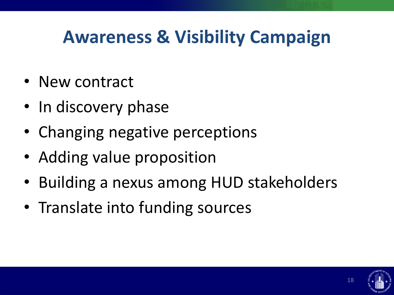#### **Awareness & Visibility Campaign**

- New contract
- In discovery phase
- Changing negative perceptions
- Adding value proposition
- Building a nexus among HUD stakeholders
- Translate into funding sources

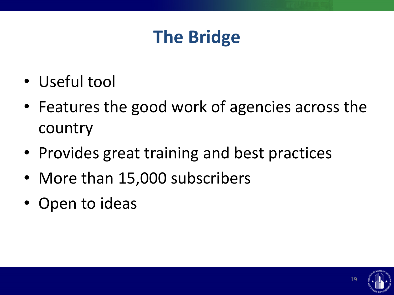#### **The Bridge**

- Useful tool
- Features the good work of agencies across the country
- Provides great training and best practices
- More than 15,000 subscribers
- Open to ideas